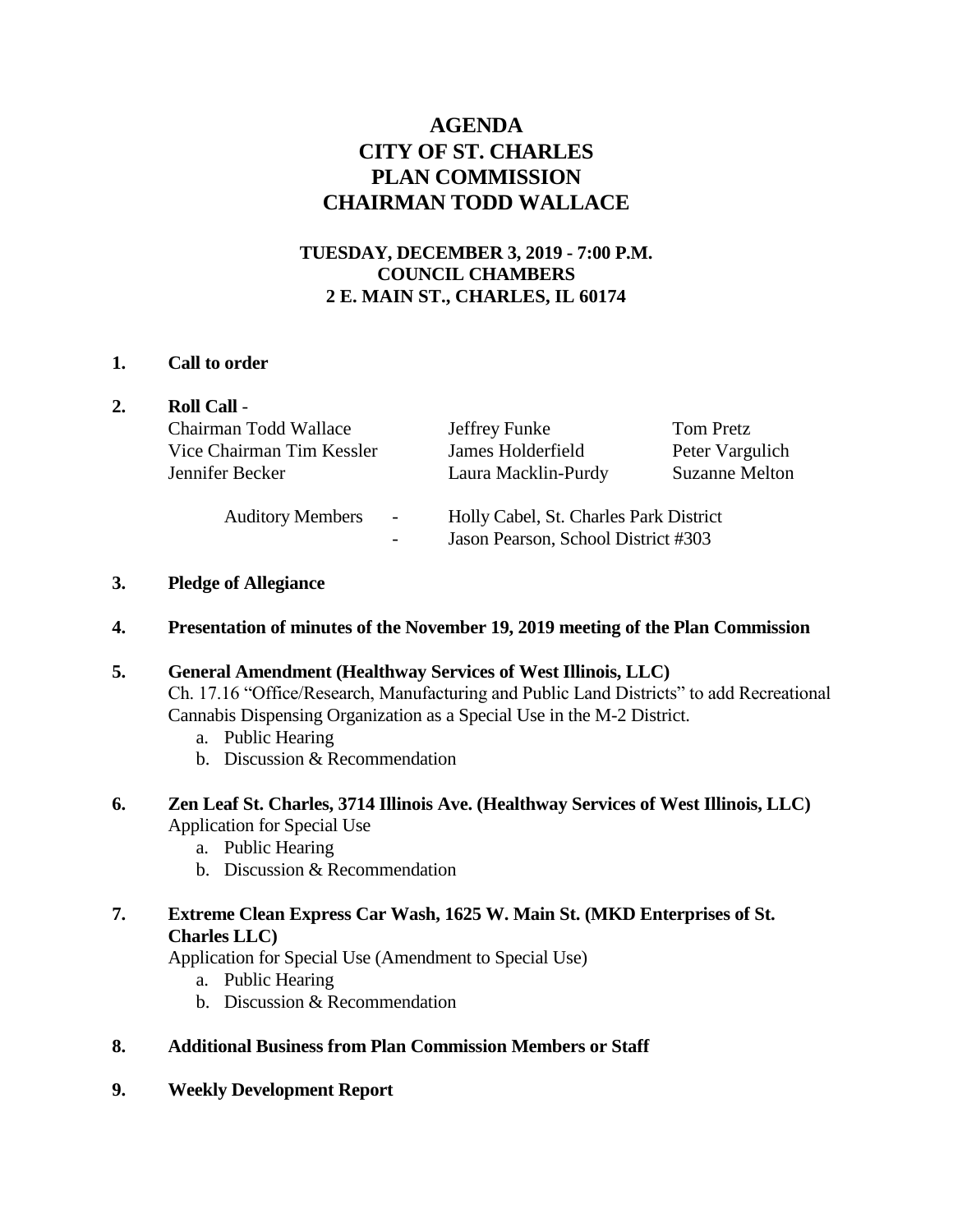# **AGENDA CITY OF ST. CHARLES PLAN COMMISSION CHAIRMAN TODD WALLACE**

# **TUESDAY, DECEMBER 3, 2019 - 7:00 P.M. COUNCIL CHAMBERS 2 E. MAIN ST., CHARLES, IL 60174**

### **1. Call to order**

| <b>Roll Call -</b>                        |                                        |                       |
|-------------------------------------------|----------------------------------------|-----------------------|
| Chairman Todd Wallace                     | Jeffrey Funke                          | Tom Pretz             |
| Vice Chairman Tim Kessler                 | James Holderfield                      | Peter Vargulich       |
| Jennifer Becker                           | Laura Macklin-Purdy                    | <b>Suzanne Melton</b> |
| <b>Auditory Members</b><br>$\blacksquare$ | Holly Cabel, St. Charles Park District |                       |
| $\overline{a}$                            | Jason Pearson, School District #303    |                       |

#### **3. Pledge of Allegiance**

# **4. Presentation of minutes of the November 19, 2019 meeting of the Plan Commission**

# **5. General Amendment (Healthway Services of West Illinois, LLC)**

Ch. 17.16 "Office/Research, Manufacturing and Public Land Districts" to add Recreational Cannabis Dispensing Organization as a Special Use in the M-2 District.

- a. Public Hearing
- b. Discussion & Recommendation
- **6. Zen Leaf St. Charles, 3714 Illinois Ave. (Healthway Services of West Illinois, LLC)** Application for Special Use
	- a. Public Hearing
	- b. Discussion & Recommendation

### **7. Extreme Clean Express Car Wash, 1625 W. Main St. (MKD Enterprises of St. Charles LLC)**

Application for Special Use (Amendment to Special Use)

- a. Public Hearing
- b. Discussion & Recommendation

# **8. Additional Business from Plan Commission Members or Staff**

**9. Weekly Development Report**